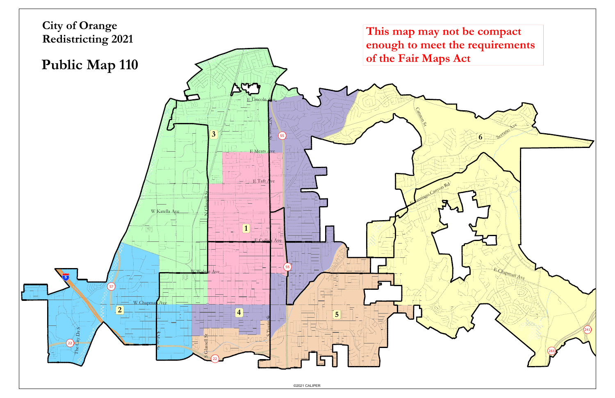